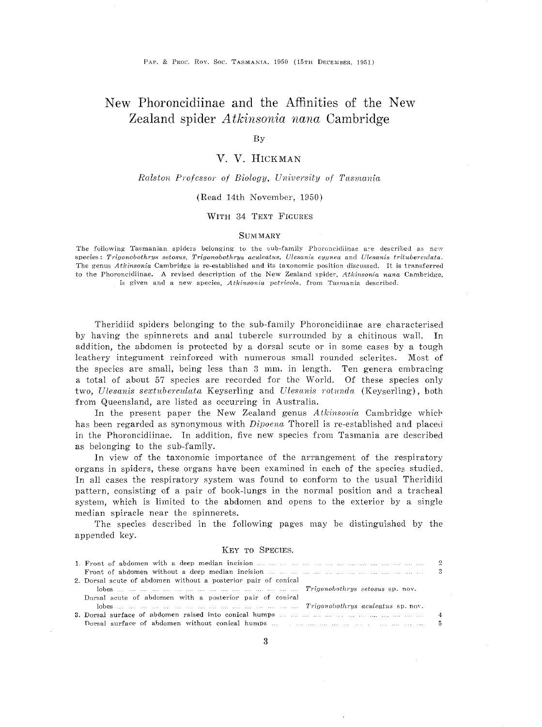# New Phoroncidiinae and the Affinities of the New Zealand spider *Atkinsonia nana* Cambridge

## By

## V. V. HICKMAN

## *Ralston Professor of Biology, University of Tasmania*

#### (Read 14th November, 1950)

## WITH 34 TEXT FIGURES

#### SUMMARY

The following Tasmanian spiders belonging to the sub-family Phoroneidiinae are described as new species: Trigonobothrys setosus, Trigonobothrys aculeatus, Ulesanis cygnea and *Ulesanis trituberculata*. The genus *Atkinsonia* Cambridge is re-established and its taxonomic position discussed. It is transferred to the Phoroncidiinae. A revised description of the New Zealand spider, Atkinsonia nana Cambridge, is given and a new species, *Atkinsonia* petricola, from Tasmania described.

Theridiid spiders belonging to the sub-family Phoroncidiinae are characterised by having the spinnerets and anal tubercle surrounded by a chitinous wall. In addition, the abdomen is protected by a dorsal scute or in some cases by a tough leathery integument reinforced with numerous small rounded sclerites. Most of the species are small, being less than 3 mm. in length. Ten genera embracing a total of about 57 species are recorded for the WorId. Of these species only two, *Ulesanis* sextuberculata Keyserling and *Ulesanis* rotunda (Keyserling), both from Queensland, are listed as occurring in Australia.

In the present paper the New Zealand genus Atkinsonia Cambridge which has been regarded as synonymous with *Dipoena* Thorell is re-established and placed in the Phoroncidiinae. In addition, five new species from Tasmania are described as belonging to the sub-family.

In view of the taxonomic importance of the arrangement of the respiratory organs in spiders, these organs have been examined in each of the species studied. In all cases the respiratory system was found to conform to the usual Theridiid pattern, consisting of a pair of book-lungs in the normal position and a tracheal system, which is limited to the abdomen and opens to the exterior by a single median spiracle near the spinnerets.

The species described in the following pages may be distinguished by the appended key.

#### KEY TO SPECIES.

| 1. Front of abdomen with a deep median incision $\ldots$ $\ldots$ $\ldots$ $\ldots$ $\ldots$ $\ldots$ $\ldots$ $\ldots$ $\ldots$ $\ldots$ $\ldots$ $\ldots$ |  |
|-------------------------------------------------------------------------------------------------------------------------------------------------------------|--|
|                                                                                                                                                             |  |
| 2. Dorsal scute of abdomen without a posterior pair of conical                                                                                              |  |
|                                                                                                                                                             |  |
| Dorsal scute of abdomen with a posterior pair of conical                                                                                                    |  |
|                                                                                                                                                             |  |
|                                                                                                                                                             |  |
|                                                                                                                                                             |  |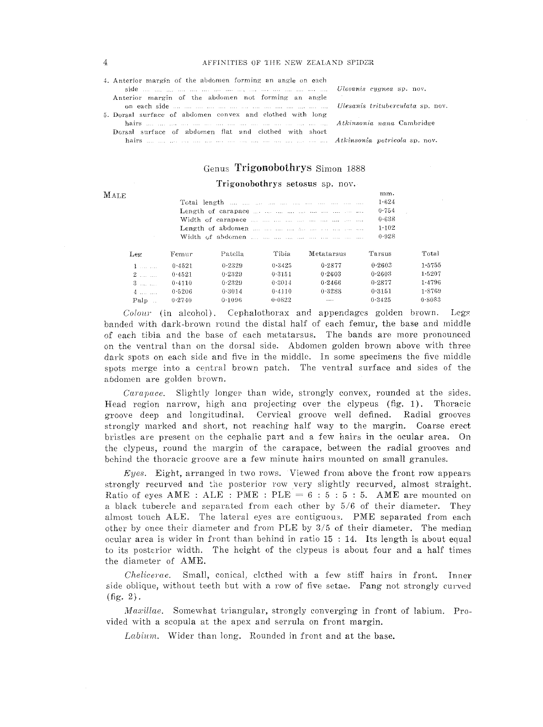| 4. Anterior margin of the abdomen forming an angle on each |  |
|------------------------------------------------------------|--|
|                                                            |  |
| Anterior margin of the abdomen not forming an angle        |  |
|                                                            |  |
| 5. Dorsal surface of abdomen convex and clothed with long  |  |
|                                                            |  |
| Dorsal surface of abdomen flat and clothed with short      |  |
|                                                            |  |
|                                                            |  |

## Genus Trigonobothrys Simon 1888

#### Trigonobothrys setosus sp. nov.

|--|

|                     |        |            |        |            | mm.       |        |
|---------------------|--------|------------|--------|------------|-----------|--------|
|                     |        |            |        |            | 1.624     |        |
|                     |        |            |        |            | 0.754     |        |
|                     |        |            |        |            | 0.638     |        |
|                     |        |            |        |            | $1 - 102$ |        |
|                     |        |            |        |            | 0.928     |        |
| Leg                 | Femur  | Patella    | Tibia  | Metatarsus | Tarsus    | Total  |
| $1$ and $2$ and $2$ | 0.4521 | 0.2329     | 0.3425 | 0.2877     | 0.2603    | 1.5755 |
| 2                   | 0.4521 | 0.2329     | 0.3151 | $0 - 2603$ | 0.2603    | 1.5207 |
| 3                   | 0.4110 | $0 - 2329$ | 0.3014 | 0.2466     | 0.2877    | 1.4796 |
| 4.11                | 6.5206 | 0.3014     | 0.4110 | 0.3288     | 0.3151    | 1.8769 |
| Palp                | 0.2740 | 0.1096     | 0.0822 | $\sim$     | 0.3425    | 0.8083 |

*CO/OW'* (in alcohol). Cephalothorax and appendages golden brown. Legs banded with dark-brown round the distal half of each femur, the base and middle of each tibia and the base of each metatarsus. The bands are more pronounced on the ventral than on the dorsal side. Abdomen golden brown above with three dark spots on each side and five in the middle. In some specimens the five middle spots merge into a central brown patch. The ventral surface and sides of the abdomen are golden brown.

*Carapace.* Slightly longer than wide, strongly convex, rounded at the sides. Head region narrow, high ana projecting over the clypeus (fig. 1). Thoracic groove deep and longitudinal. Cervical groove well defined. Radial grooves strongly marked and short, not reaching half way to the margin. Coarse erect bristles are present on the cephalic part and a few hairs in the ocular area. On the clypeus, round the margin of the carapace, between the radial grooves and behind the thoracic groove are a few minute hairs mounted on small granules.

*Eyes.* Eight, arranged in two rows. Viewed from above the front row appears strongly recurved and the posterior row very slightly recurved, almost straight. Ratio of eyes AME : ALE : PME : PLE =  $6:5:5:5$ . AME are mounted on a black tubercle and separated from each other by 5/6 of their diameter. They almost touch ALE. The lateral eyes are contiguous. PME separated from each other by once their diameter and from PLE by 3/5 of their diameter. The median ocular area is wider in front than behind in ratio 15 : 14. Its length is about equal to its posterior width. The height of the clypeus is about four and a half times the diameter of AME.

*Chelicerae.* Small, conical, clcthed with a few stiff hairs in front. Inner side oblique, without teeth but with a row of five setae. Fang not strongly curved (fig.  $2$ ).

*Maxillae.* Somewhat triangular, strongly converging in front of labium. Provided with a scopula at the apex and serrula on front margin.

*Labium.* Wider than long. Rounded in front and at the base.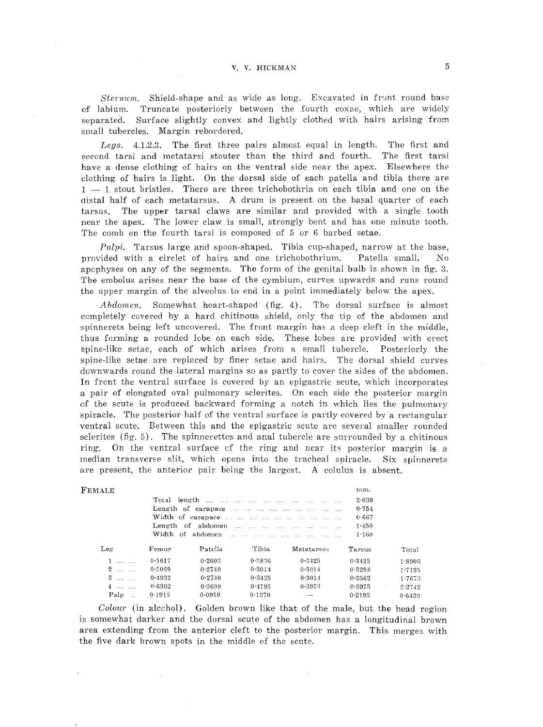*Sternum.* Shield-shape and as wide as long. Excavated in front round base of labium. Truncate posteriorly between the fourth coxae, which are widely separated. Surface slightly convex and lightly clothed with hairs arising from small tubercles. Margin rebordered.

*Legs.* 4.1.2.3. The first three pairs almost equal in length. The first and second tarsi and metatarsi stouter than the third and fourth. The first tarsi have a dense clothing of hairs on the ventral side near the apex. Elsewhere the clothing of hairs is light. On the dorsal side of each patella and tibia there are  $1 - 1$  stout bristles. There are three trichobothria on each tibia and one on the distal half of each metatarsus. A drum is present on the basal quatter of each tarsus. The upper tarsal claws are similar and provided with a single tooth near the apex. The lower claw is small, strongly bent and has one minute tooth. The comb on the fourth tarsi is composed of 5 or 6 barbed setae.

Palpi. Tarsus large and spoon-shaped. Tibia cup-shaped, narrow at the base, provided with a circlet of hairs and one trichobothrium. Patella small. No apophyses on any of the segments. The form of the genital bulb is shown in fig. 3. The embolus arises near the base of the cymbium, curves upwards and runs round the upper margin of the alveolus to end in a point immediately below the apex.

*Abdomen.* Somewhat heart-shaped (fig. 4). The dorsal surface is almost completely covered by a hard chitinous shield, only the tip of the abdomen and spinnerets being left uncovered. The front margin has a deep cleft in the middle, thus forming a rounded lobe on each side. These lobes are provided with erect spine-like setae, each of which arises from a small tubercle. Posteriorly the spine-like setae are replaced by finer setae and hairs. The dorsal shield curves downwards round the lateral margins so as partly to cover the sides of the abdomen. In front the ventral surface is covered by an epigastric scute, which incorporates a pair of elongated oval pulmonary sclerites. On each side the posterior margin of the scute is produced backward forming a notch in which lies the pulmonary spiracle. The posterior half of the ventral surface is partly covered by a rectangular ventral scute. Between this and the epigastric scute are several smaller rounded sclerites (fig. 5). The spinnerettes and anal tubercle are surrounded by a chitinous ring. On the ventral surface of the ring and near its posterior margin is a median transverse slit, which opens into the tracheal spiracle. Six spinnerets are present, the anterior pair being the largest. A colulus is absent.

| FEMALE                |        |         |        |            | mm.        |            |
|-----------------------|--------|---------|--------|------------|------------|------------|
|                       |        |         |        |            | $2 - 0.30$ |            |
|                       |        |         |        |            | 0.754      |            |
|                       |        |         |        |            | 0.667      |            |
|                       |        |         |        |            | 1.450      |            |
|                       |        |         |        |            | 1.160      |            |
| Leg                   | Femur  | Patella | Tibia  | Metatarsus | Tarsus     | Total      |
| $1 - \ldots - \ldots$ | 0.5617 | 0.2603  | 0.2836 | 0.3425     | 0.3425     | $1 - 8906$ |
| $2 \dots \dots$       | 0.5069 | 0.2740  | 0.3014 | 0.3014     | 0.3288     | 1.7125     |
| $3 - \dots - \dots$   | 0.4932 | 0.2740  | 0.3425 | 0.3014     | 0.3562     | 1.7673     |
| $4 \dots \dots$       | 0.6302 | 0.3699  | 0.4795 | 0.3973     | 0.3973     | 2.2742     |
| Palp                  | 0.1918 | 0.0959  | 0.1370 |            | 0.2192     | 0.6439     |

*Colour* (in alcehol). Golden brown like that of the male, but the head region is somewhat darker and the dorsal scute of the abdomen has a longitudinal brown area extending from the anterior cleft to the posterior margin. This merges with the five dark brown spots in the middle of the scute.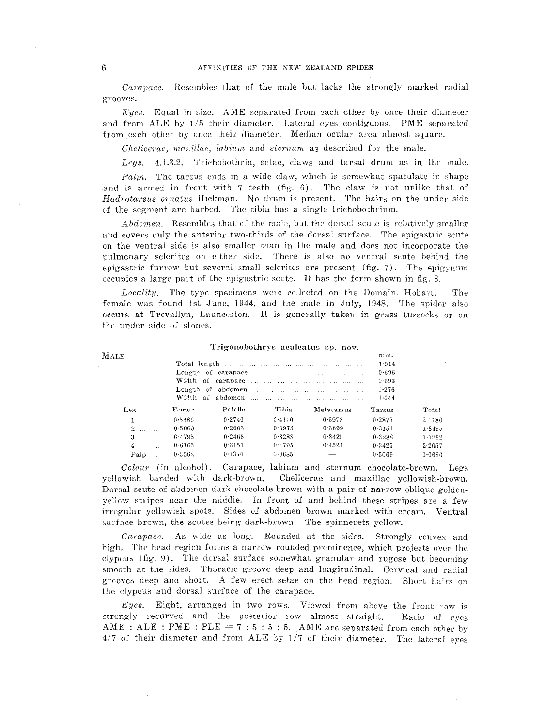*Carapace.* Resembles that of the male but lacks the strongly marked radial grooves.

*Eyes.* Equal in SIze. AME separated from each other by once their diameter and from ALE by 1/5 their diameter. Lateral eyes contiguous. PME separated from each other by once their diameter. Median ocular area almost square.

*Chelicerae, maxillae, labium and sternum as described for the male.* 

*Legs.* 4.1.3.2. Trichobothria, setae, claws and tarsal drum as in the male.

*Palpi.* The targus ends in a wide claw, which is somewhat spatulate in shape and is armed in front with  $7$  teeth (fig.  $6$ ). The claw is not unlike that of *Hadrotarsus ornatus* Hickman. No drum is present. The hairs on the under side of the segment are barbed. The tibia has a single trichobothrium.

Abdomen. Resembles that of the male, but the dorsal scute is relatively smaller and covers only the anterior two-thirds of the dorsal surface. The epigastric scute on the ventral side is also smaller than in the male and does not incorporate the pulmonary sclerites on either side. There is also no ventral scute behind the epigastric furrow but several small sclerites are present  $(fig. 7)$ . The epigynum occupies a large part of the epigastric scute. It has the form shown in fig. 8.

*Locality.* The type specimens were collected on the Domain, Hobart. The female was found 1st June, 1944, and the male in July, 1948. The spider also occurs at Trevallyn. Launccston. It is generally taken in grass tussocks or on the under side of stones.

## Trigonobothrys aculeatus sp. nov.

| MALE                |        |         |        |            | mm.       |            |
|---------------------|--------|---------|--------|------------|-----------|------------|
|                     |        |         |        |            | 1.914     |            |
|                     |        |         |        |            | 0.696     |            |
|                     |        |         |        |            | 0.696     |            |
|                     |        |         |        |            | $1 - 276$ |            |
|                     |        |         |        |            | 1.044     |            |
| Lex                 | Femur  | Patella | Tibia  | Metatarsus | Tarsus    | Total      |
| $1 - \dots - \dots$ | 0.5480 | 0.2740  | 0.4110 | 0.3973     | 0.2877    | 2.1180     |
| $2 \dots \dots$     | 0.5069 | 0.2603  | 0.3973 | 0.3699     | 0.3151    | 1.8495     |
| $3 \dots \dots$     | 0.4795 | 0.2466  | 0.3288 | 0.3425     | 0.3288    | 1.7262     |
|                     | 0.6165 | 0.3151  | 0.4795 | 0.4521     | 0.3425    | 2.2057     |
| Palp                | 0.3562 | 0.1370  | 0.0685 |            | 0.5069    | $1 - 0686$ |

*Colour* (in alcohol). Carapace, labium and sternum chocolate-brown. Legs yellowish banded with dark-brown. Chelicerae and maxillae yellowish-brown. Dorsal scute of abdomen dark chocolate-brown with a pair of narrow oblique goldenyellow stripes near the middle. In front of and behind these stripes are a few irregular yellowish spots. Sides of abdomen brown marked with cream. Ventral surface brown, the scutes being dark-brown. The spinnerets yellow.

*Carapace.* As wide as long. Rounded at the sides. Strongly convex and high. The head region forms a narrow rounded prominence, which projects over the clypeus (fig. 9). The dorsal surface somewhat granular and rugose but becoming smooth at the sides. Thoracic groove deep and longitudinal. Cervical and radial grooves deep and short. A few erect setae on the head region. Short hairs on the clypeus and dorsal surface of the carapace.

*Eyes.* Eight, arranged in two rows. Viewed from above the front row is strongly recurved and the posterior row almost straight. Ratio of eyes AME : ALE : PME : PLE =  $7:5:5:5$ . AME are separated from each other by 4/7 of their diameter and from ALE by 1/7 of their diameter. The lateral eyes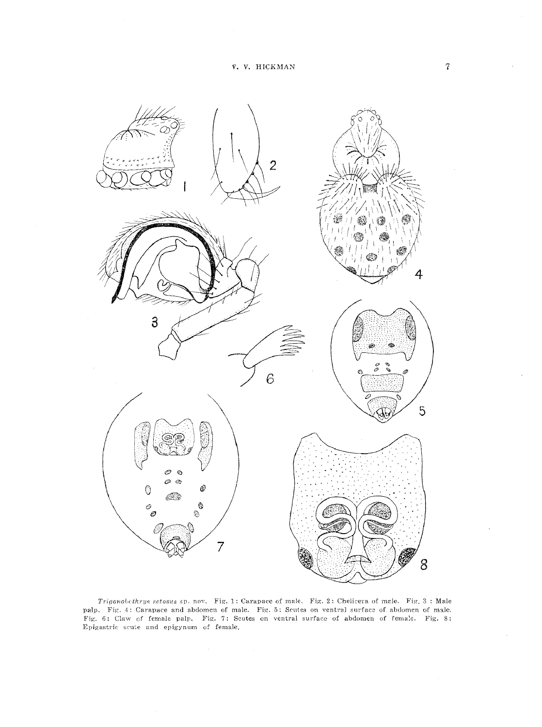

Trigonobethrys setosus sp. nov. Fig. 1: Carapace of male. Fig. 2: Chelicera of male. Fig. 3: Male palp. Fig. 4: Carapace and abdomen of male. Fig. 5: Scutes on ventral surface of abdomen of male. Fig. 6: Claw of female palp. Fig. 7: Scutes on ventral surface of abdomen of female. Fig. 8: Epigastric scute and epigynum of female.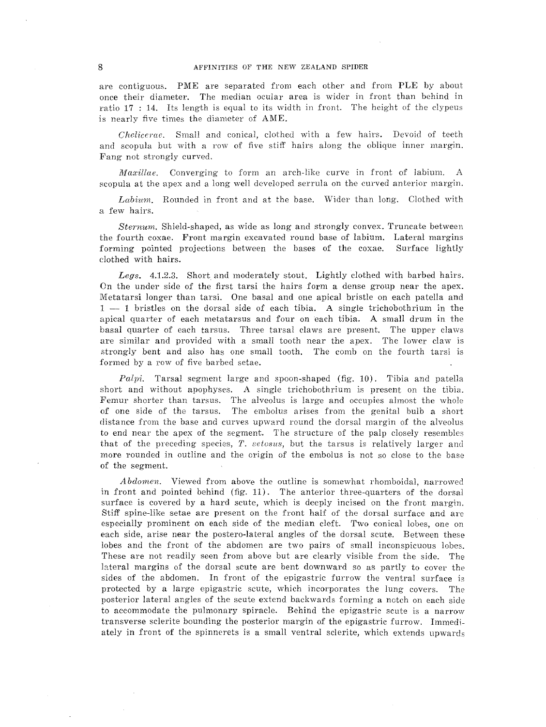are contiguous. PME are separated from each other and from PLE by about once their diameter. The median ocular area is wider in front than behind in ratio 17 : 14. Its length is equal to its width in front. The height of the clypeus is nearly five times the diameter of AME.

*Chelicerae.* Small and conical, clothed with a few hairs. Devoid of teeth and scopula but with a row of five stiff hairs along the oblique inner margin. Fang not strongly curved.

*Maxillae.* Converging to form an arch-like curve in front of labium. A scopula at the apex and a long well developed serrula on the curved anterior margin.

*Labium.* Rounded in front and at the base. Wider than long. Clothed with a few hairs.

*Sternum.* Shield-shaped, as wide as long and strongly convex. Truncate between the fourth coxae. Front margin excavated round base of labium. Lateral margins forming pointed projections between the bases of the coxae. Surface lightly clothed with hairs.

*Legs.* 4.1.2.3. Short and moderately stout. Lightly clothed with barbed hairs. On the under side of the first tarsi the hairs form a dense group near the apex. Metatarsi longer than tarsi. One basal and one apical bristle on each patella and  $1 - 1$  bristles on the dorsal side of each tibia. A single trichobothrium in the apical quarter of each metatarsus and four on each tibia. A small drum in the basal quarter of each tarsus. Three tarsal claws are present. The upper claws are similar and provided with a small tooth near the apex. The lower claw is strongly bent and also has one small tooth. The comb on the fourth tarsi is formed by a row of five barbed setae.

*Palpi.* Tarsal segment large and spoon-shaped (fig. 10). Tibia and patella short and without apophyses. A single trichobothrium is present on the tibia. Femur shorter than tarsus. The alveolus is large and occupies almost the whole of one side of the tarsus. The embolus arises from the genital bulb a short distance from the base and curves upward round the dorsal margin of the alveolus to end near the apex of the segment. The structure of the palp closely resembles that of the preceding species, *T. setosus,* but the tarsus is relatively larger and more rounded in outline and the origin of the embolus is not so close to the base of the segment.

*Abdomen.* Viewed from above the outline is somewhat rhomboidal, narrowed in front and pointed behind (fig. 11). The anterior three-quarters of the dorsal surface is covered by a hard scute, which is deeply incised on the front margin. Stiff spine-like setae are present on the front half of the dorsal surface and are especially prominent on each side of the median cleft. Two conical lobes, one on each side, arise near the postero-lateral angles of the dorsal scute. Between these lobes and the front of the abdomen are two pairs of small inconspicuous lobes. These are not readily seen from above but are clearly visible from the side. The lateral margins of the dorsal scute are bent downward so as partly to cover the sides of the abdomen. In front of the epigastric furrow the ventral surface is protected by a large epigastric scute, which incorporates the lung covers. The posterior lateral angles of the scute extend backwards forming a notch on each side to accommodate the pulmonary spiracle. Behind the epigastric scute is a narrow transverse sclerite bounding the posterior margin of the epigastric furrow. Immediately in front of the spinnerets is a small ventral sclerite, which extends upwards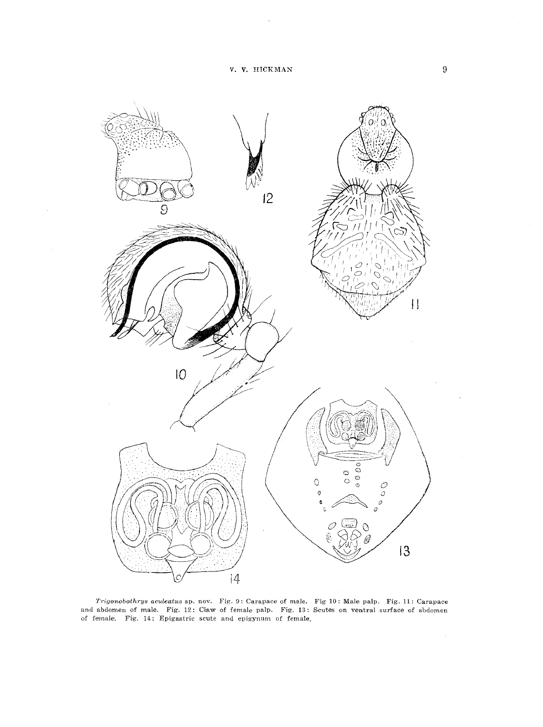

*Trigonobothrys aculeatus* sp. nov. Fig. 9: Carapace of male. Fig 10: Male palp. Fig. 11: Carapace and abdomen of male. Fig. 12: Claw of female palp. Fig. 13: Scutes on ventral surface of abdomen of female. Fig. 14: Epigastric scute anu epigynum of female.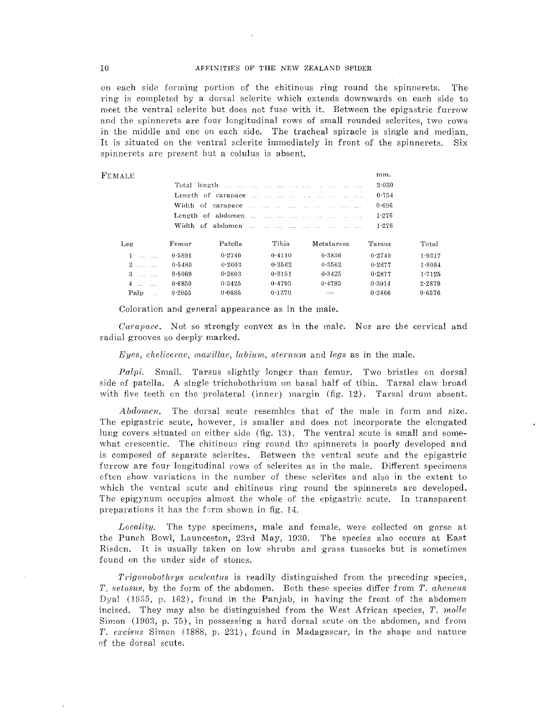#### 1U AFFINITIES OF' THE NEW ZEALAND SPIDER

on each side forming portion of the chitinous ring round the spinnerets. The ring is completed by a dorsal sclerite which extends downwards on each side to meet the ventral sclerite but does not fuse with it. Between the epigastric furrow and the spinnerets are four longitudinal rows of small rounded sclerites, two rows in the middle and one on each side. The tracheal spiracle is single and median. It is situated on the ventral sclerite immediately in front of the spinnerets. Six spinnerets are present but a colulus is absent.

| $F$ EMALE             |        |         |        |            | mm.        |        |
|-----------------------|--------|---------|--------|------------|------------|--------|
|                       |        |         |        |            | $2 - 0.30$ |        |
|                       |        |         |        |            | 0.754      |        |
|                       |        |         |        |            | 0.696      |        |
|                       |        |         |        |            | 1.276      |        |
|                       |        |         |        |            | 1.276      |        |
| Leg                   | Femur  | Patella | Tibia  | Metatarsus | Tarsus     | Total  |
| $1 - \ldots - \ldots$ | 0.5891 | 0.2740  | 0.4110 | 0.3836     | 0.2740     | 1.9317 |
| $2 \dots \dots$       | 0.5480 | 0.2603  | 0.3562 | 0.3562     | 0.2877     | 1.8084 |
| $3 \dots \dots$       | 0.5069 | 0.2603  | 0.3151 | 0.3425     | 0.2877     | 1.7125 |
| $4 \dots \dots$       | 0.6850 | 0.3425  | 0.4795 | 0.4795     | 0.3014     | 2.2879 |
| Palp<br>$\sim$        | 0.2055 | 0.0685  | 0.1370 |            | 0.2466     | 0.6576 |
|                       |        |         |        |            |            |        |

Coloration and general appearance as in the male.

*Carapace.* Not so strongly convex as in the male. Nor are the cervical and radial grooves so deeply marked.

*Eyes, chelieerae, maxillae, labiurn, sternum* and *legs* as in the male.

*Palpi\_* Small. Tarsus slightly longer than femur. Two bristles on dorsal side of patella. A single trichobothrium on basal half of tibia. Tarsal claw broad with five teeth on the prolateral (inner) margin (fig. 12). Tarsal drum absent.

*Abdomen.* The dorsal scute resembles that of the male in form and size. The epigastric scute, however, is smaller and does not incorporate the elongated lung covers situated on either side (fig. 13). The ventral scute is small and somewhat crescentic. The chitinous ring round the spinnerets is poorly developed and is composed of separate sclerites. Between the ventral scute and the epigastric furrow are four longitudinal rows of sclerites as in the male. Different specimens often show variations in the number of these sclerites and also in the extent to which the ventral scute and chitinous ring round the spinnerets are developed. The epigynum occupies almost the whole of the epigastric scute. In transparent preparations it has the form shown in fig. 14.

*Locality.* The type specimens, male and female, were collected on gorse at the Punch Bowl, Launceston, 23rd May, 1930. The species also occurs at East Risden. It is usually taken on low shrubs and grass tussocks but is sometimes found on the under side of stones.

*Trigonobothrys aculeatus* is readily distinguished from the preceding species, *T\_ setosus,* by the form of the abdomen. Both these species differ from *T. aheneus* Dyal (1935, p. 162), found in the Panjab, in having the front of the abdomen incised. They may also be distinguished from the West African species, *T. molle* Simon (1903, p. 75), in possessing a hard dorsal scute on *the* abdomen, and from *T. excisus* Simon (1888, p. 231), found in Madagascar, in the shape and nature of the dorsal scute.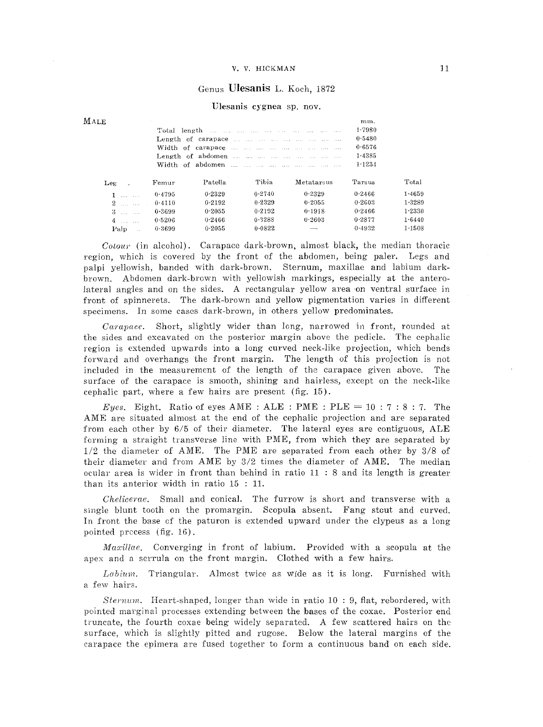#### V. V. HICKMAN

## Genus Ulesanis L. Koch, 1872

#### Ulesanis cygnea sp. nov.

| MALE              |        |         |        |            | mm.        |            |
|-------------------|--------|---------|--------|------------|------------|------------|
|                   |        |         |        |            | $1 - 7980$ |            |
|                   |        |         |        |            | 0.5480     |            |
|                   |        |         |        |            | 0.6576     |            |
|                   |        |         |        |            | 1.4385     |            |
|                   |        |         |        |            | $1 - 1234$ |            |
| Leg-              | Femur  | Patella | Tibia  | Metatarsus | Tarsus     | Total      |
| $1 - 1 - 1$       | 0.4795 | 0.2329  | 0.2740 | $0 - 2329$ | 0.2466     | 1.4659     |
| $2 - 2 - 2$       | 0.4110 | 0.2192  | 0.2329 | 0.2055     | 0.2603     | 1.3289     |
| $3 - 10 - 10$     | 0.3699 | 0.2055  | 0.2192 | 0.1918     | 0.2466     | $1 - 2330$ |
| $4 \ldots \ldots$ | 0.5206 | 0.2466  | 0.3288 | 0.2603     | 0.2877     | 1.6440     |
| $Palo$            | 0.3699 | 0.2055  | 0.0822 |            | 0.4932     | 1.1508     |

*COlour* (in alcohol). Carapace dark-brown, almost black, the median thoracic region, which is covered by the front of the abdomen, being paler. Legs and palpi yellowish, banded with dark-brown. Sternum, maxillae and labium darkbrown. Abdomen dark-brown with yellowish markings, especially at the anterolateral angles and on the sides. A rectangular yellow area on ventral surface in front of spinnerets. The dark-brown and yellow pigmentation varies in different specimens. In some cases dark-brown, in others yellow predominates.

*Carapace.* Short, slightly wider than long, narrowed in front, rounded at the sides and excavated on the posterior margin above the pedicle. The cephalic region is extended upwards into a long curved neck-like projection, which bends forward and overhangs the front margin. The length of this projection is not included in the measurement of the length of the carapace given above. The surface of the carapace is smooth, shining and hairless, except on the neck-like cephalic part, where a few hairs are present (fig. 15).

*Eyes.* Eight. Ratio of eyes  $\text{AME}: \text{ALE}: \text{PME}: \text{PLE} = 10:7:8:7$ . The AME are situated almost at the end of the cephalic projection and are separated from each other by 6/5 of their diameter. The lateral eyes are contiguous, ALE forming a straight transverse line with PME, from which they are separated by 1/2 the diameter of AME. The PME are separated from each other by 3/8 of their diameter and from AME by 3/2 times the diameter of AME. The median ocular area is wider in front than behind in ratio 11 : 8 and its length is greater than its anterior width in ratio 15 : 11.

*Chelicerae.* Small and conical. The furrow is short and transverse with a single blunt tooth on the promargin. Scopula absent. Fang stout and curved. In front the base of the paturon is extended upward under the clypeus as a long pointed precess (fig. 16).

*Maxillae.* Converging in front of labium. Provided with a scopula at the apex and a serrula on the front margin. Clothed with a few hairs.

*Labium.* Triangular. Almost twice as Wide as it is long. Furnished with a few hairs.

*Sternum.* Heart-shaped, longer than wide in ratio 10 : 9, flat, rebordered, with pointed marginal processes extending between the bases of the coxae. Posterior end truncate, the fourth coxae being widely separated. A few scattered hairs on the surface, which is slightly pitted and rugose. Below the lateral margins of the carapace the epimera are fused together to form a continuous band on each side.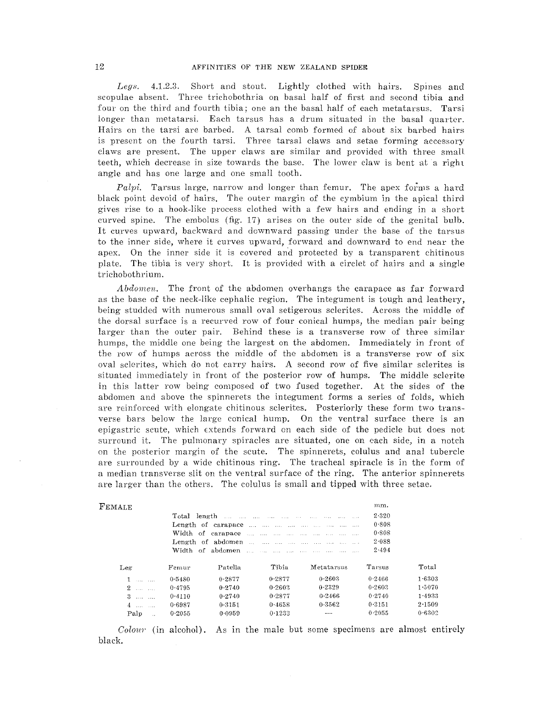*Leg8.* 4.1.2.3. Short and stout. Lightly clothed with hairs. Spines and scopulae absent. Three trichobothria on basal half of first and second tibia and four on the third and fourth tibia; one an the basal half of each metatarsus. Tarsi longer than metatarsi. Each tarsus has a drum situated in the basal quarter. Hairs on the tarsi are barbed. A tarsal comb formed of about six barbed hairs is present on the fourth tarsi. Three tarsal claws and setae forming accessory claws are present. The upper claws are similar and provided with three small teeth, which decrease in size towards the base. The lower claw is bent at a right angle and has one large and one small tooth.

*Palpi.* Tarsus large, narrow and longer than femur. The apex forms a hard black point devoid of hairs. The outer margin of the cymbium in the apical third gives rise to a hook-like process clothed with a few hairs and ending in a short curved spine. The embolus (fig. 17) arises on the outer side of the genital bulb. It curves upward, backward and downward passing under the base of the tarsus to the inner side, where it curves upward, forward and downward to end near the apex. On the inner side it is covered and protected by a transparent chitinous plate. The tibia is very short. It is provided with <sup>a</sup> circlet of hairs and <sup>a</sup> single trichobothrium.

*Abdomen.* The front of the abdomen overhangs the carapace as far forward as the base of the neck-like cephalic region. The integument is tough and leathery, being studded with numerous small oval setigerous sclerites. Across the middle of the dorsal surface is a recurved row of four conical humps, the median pair being larger than the outer pair. Behind these is a transverse row of three similar humps, the middle one being the largest on the abdomen. Immediately in front of the row of humps across the middle of the abdomen is a transverse row of six oval sclerites, which do not carry hairs. A second row of five similar sclerites is situated immediately in front of the posterior row of humps. The middle sclerite in this latter row being composed of two fused together. At the sides of the abdomen and above the spinnerets the integument forms a series of folds, which are reinforced with elongate chitinous sclerites. Posteriorly these form two transverse bars below the largo conical hump. On the ventral surface there is an epigastric scute, which Extends forward on each side of the pedicle but does not surround it. The pulmonary spiracles are situated, one on each side, in a notch on the posterior margin of the scute. The spinnerets, colulus and anal tubercle are surrounded by a wide chitinous ring. The tracheal spiracle is in the form of a median transverse slit on the ventral surface of the ring. The anterior spinnerets are larger than the others. The colulus is small and tipped with three setae.

| FEMALE                |        |         |        |            | mm.    |            |
|-----------------------|--------|---------|--------|------------|--------|------------|
|                       |        |         |        |            | 2.320  |            |
|                       |        |         |        |            | 0.808  |            |
|                       |        |         |        |            | 0.808  |            |
|                       |        |         |        |            | 2.088  |            |
|                       |        |         |        |            | 2.494  |            |
| Leg                   | Femur  | Patella | Tibia  | Metatarsus | Tarsus | Total      |
| $1 - \ldots - \ldots$ | 0.5480 | 0.2877  | 0.2877 | 0.2603     | 0.2466 | 1.6303     |
| $2 \ldots \ldots$     | 0.4795 | 0.2740  | 0.2603 | 0.2329     | 0.2603 | $1 - 5070$ |
| $3 \ldots \ldots$     | 0.4110 | 0.2740  | 0.2877 | 0.2466     | 0.2740 | 1.4933     |
| $4 \ldots \ldots$     | 0.6987 | 0.3151  | 0.4658 | 0.3562     | 0.3151 | 2.1509     |
| Palp                  | 0.2055 | 0.0959  | 0.1233 | ----       | 0.2055 | 0.6302     |

*Colou?'* (in alcohol). As in the male but some specimens are almost entirely black.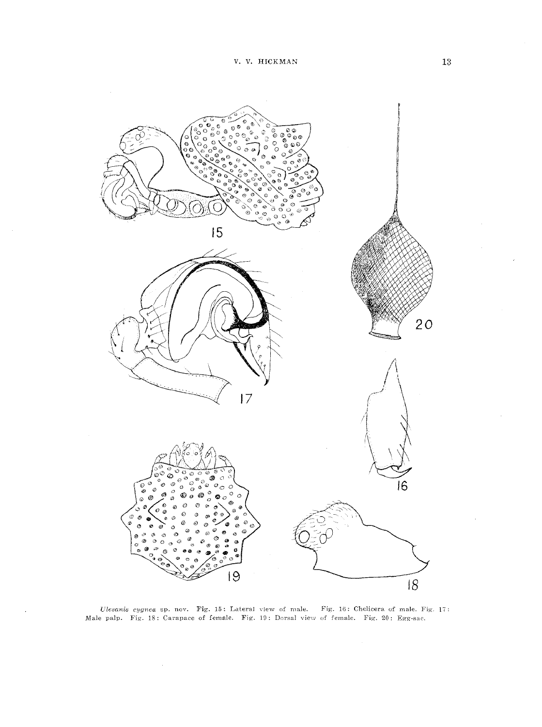

*Ulesan'is cygnea* sp. nov. Fig. 15: LuteraI view of male. Fig. 16: Chelicera of male. Fig:. 17: Male palp. Fig. 18: Carapace of female. Fig. 19: Dorsal view of female. Fig. 20: Egg-sac.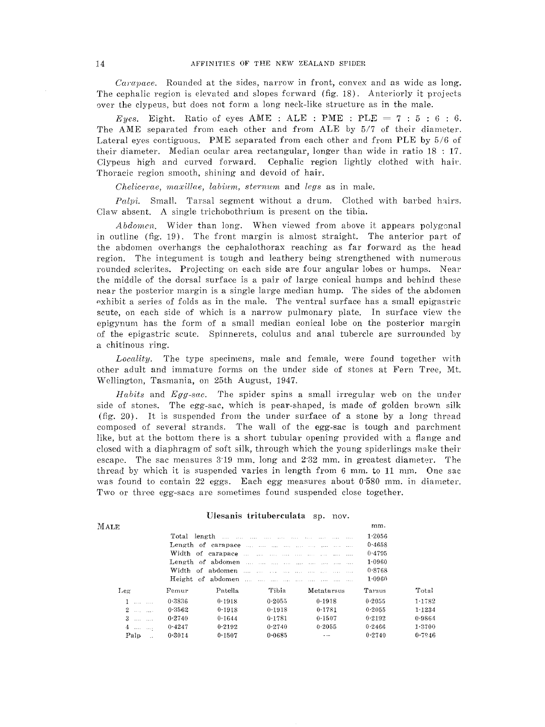*Carapace.* Rounded at the sides, narrow in front, convex and as wide as long. The cephalic region is elevated and slopes forward (fig. 18). Anteriorly it projects over the clypeus, but does not form a long neck-like structure as in the male.

*Eyes.* Eight. Ratio of eyes  $\overline{AME}$ :  $\overline{ALE}$ :  $\overline{PME}$ :  $\overline{PLE}$  = 7:5:6:6. The AME separated from each other and from ALE by 5/7 of their diameter. Lateral eyes contiguous. **PME** separated from each other and from **PLE** by 5/6 of their diameter. Median ocular area rectangular, longer than wide in ratio 18 : 17. Clypeus high and curved forward. Cephalic region lightly clothed with hair. Thoracic region smooth, shining and devoid of hair.

*Chelicerae, maxillae, labium, sternum* and *legs* as in male.

*Palpi.* Small. Tarsal segment without a drum. Clothed with barbed hairs. Claw absent. A single trichobothrium is present on the tibia.

*Abdomen.* Wider than long. When viewed from above it appears polygonal in outline (fig. 19). The front margin is almost straight. The anterior part of the abdomen overhangs the cephalothorax reaching as far forward as the head region. The integument is tough and leathery being strengthened with numerous rounded sclerites. Projecting on each side are four angular lobes or humps. Near the middle of the dorsal surface is a pair of large conical humps and behind these near the posterior margin is a single large median hump. The sides of the abdomen exhibit a series of folds as in the male. The ventral surface has a small epigastric scute, on each side of which is a narrow pulmonary plate. **In** surface view the epigynum has the form of a small median conical lobe on the posterior margin of the epigastric scute. Spinnerets, colulus and anal tubercle are surrounded by a chitinous ring.

*Locality.* The type specimens, male and female, were found together with other adult and immature forms on the under side of stones at Fern Tree, Mt. Wellington, Tasmania, on 25th August, 1947.

*Habits* and *Egg-sac.* The spider spins a small irregular web on the under side of stones. The egg-sac, which is pear-shaped, is made of golden brown silk (fig. 20). It is suspended from the under surface of a stone by a long thread composed of several strands. The wall of the egg-sac is tough and parchment like, but at the bottom there is a short tubular opening provided with a flange and closed with a diaphragm of soft silk, through which the young spiderlings make their escape. The sac measures 8'19 mm. long and 2'82 mm. in greatest diameter. The thread by which it is suspended varies in length from 6 mm. to 11 mm. One sac was found to contain 22 eggs. Each egg measures about 0'580 mm. in diameter. Two or three egg-sacs are sometimes found suspended close together.

#### **Ulesanis trituberculata** sp. nov.

| MALE                               |        |         |        |            | mm.        |           |
|------------------------------------|--------|---------|--------|------------|------------|-----------|
|                                    |        |         |        |            | $1 - 2056$ |           |
|                                    |        |         |        |            | 0.4658     |           |
|                                    |        |         |        |            | 0.4795     |           |
|                                    |        |         |        |            | 1.0960     |           |
|                                    |        |         |        |            | 0.8768     |           |
|                                    |        |         |        |            | $1 - 0960$ |           |
| Leg                                | Femur  | Patella | Tibia  | Metatarsus | Tarsus     | Total     |
| $1 - \ldots - \ldots$              | 0.3836 | 0.1918  | 0.2055 | 0-1918     | 0.2055     | 1.1782    |
| $2 \ldots \ldots$                  | 0.3562 | 0.1918  | 0.1918 | 0.1781     | 0.2055     | 1 1 2 3 4 |
| $3 \dots \dots$                    | 0.2740 | 0.1644  | 0.1781 | 0.1507     | 0.2192     | 0.9864    |
| $4 \dots \dots \dots \dots 0.4247$ |        | 0.2192  | 0.2740 | 0.2055     | 0.2466     | 1.3700    |
| Palp                               | 0.5014 | 0.1507  | 0.0685 |            | 0.2740     | 0.7946    |
|                                    |        |         |        |            |            |           |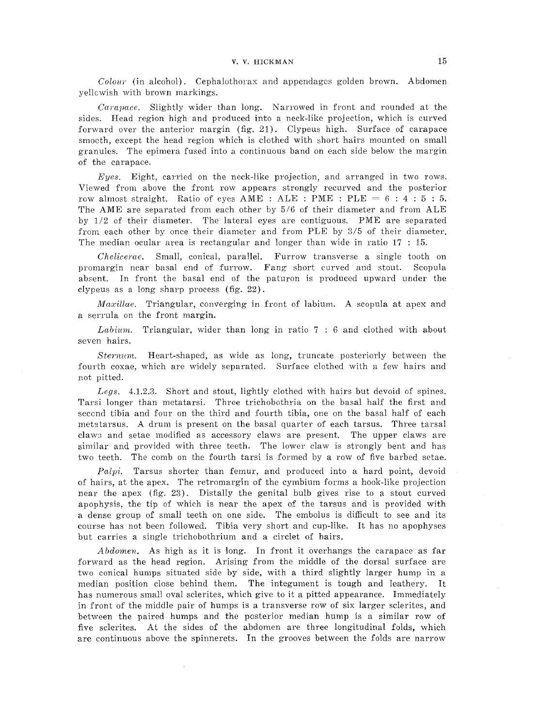*Colour* (in alcohol). Cephalothorax and appendages golden brown. Abdomen yellcwish with brown markings.

*Carapace.* Slightly wider than long. Narrowed in front and rounded at the sides. Head region high and produced into a neck-like projection, which is curved forward over the anterior margin (fig. 21). Clypeus high. Surface of carapace smooth, except the head region which is clothed with short hairs mounted on small granules. The epimera fused into a continuous band on each side below the margin of the carapace.

*Eyes.* Eight, carried on the neck-like projection, and arranged in two rows. Viewed from above the front row appears strongly recurved and the posterior row almost straight. Ratio of eyes AME : ALE : PME :  $PLE = 6 : 4 : 5 : 5$ . The AME are separated from each other by 5/6 of their diameter and from ALE by 1/2 of their diameter. The lateral eyes are contiguous. PME are separated from each other by once their diameter and from PLE by 3/5 of their diameter. The median ocular area is rectangular and longer than wide in ratio 17 : 15.

*Chelicerae.* Small, conical, parallel. Furrow transverse a single tooth on promargin near basal end of furrow. Fang short curved and stout. Scopula absent. In front the basal end of the paturon is produced upward under the clypeus as a long sharp process (fig. 22).

*Maxillae.* Triangular, converging in front of labium. A scopula at apex and a serrula on the front margin.

*Labium.* Triangular, wider than long in ratio 7 : 6 and clothed with about seven hairs.

*Sternum.* Heart-shaped, as wide as long, truncate posteriorly between the fourth coxae, which are widely separated. Surface clothed with a few hairs and not pitted.

*Legs.* 4.1.2.3. Short and stout, lightly clothed with hairs but devoid of spines. Tarsi longer than metatarsi. Three trichobothria on the basal half the first and second tibia and four on the third and fourth tibia, one on the basal half of each metatarsus. A drum is present on the basal quarter of each tarsus. Three tarsal claws and setae modified as accessory claws are present. The upper claws are similar and provided with three teeth. The lower claw is strongly bent and has two teeth. The comb on the fourth tarsi is formed by a row of five barbed setae.

*Palpi.* Tarsus shorter than femur, and produced into a hard point, devoid of hairs, at the apex. The retromargin of the cymbium forms a hook-like projection near the apex (fig. 23). Distally the genital bulb gives rise to a stout curved apophysis, the tip of which is near the apex of the tarsus and is provided with a dense group of small teeth on one side. The embolus is difficult to see and its course has not been followed. Tibia very short and cup-like. It has no apophyses but carries a single trichobothrium and a circlet of hairs.

*Abdmnen.* As high as it is long. In front it overhangs the carapace as far forward as the head region. Arising from the middle of the dorsal surface are two conical humps situated side by side, with a third slightly larger hump in a median position close behind them. The integument is tough and leathery. It has numerous small oval sclerites, which give to it a pitted appearance. Immediately in front of the middle pair of humps is a transverse row of six larger sclerites, and between the paired humps and the posterior median hump is a similar row of five sclerites. At the sides of the abdomen are three longitudinal folds, which are continuous above the spinnerets. In the grooves between the folds are narrow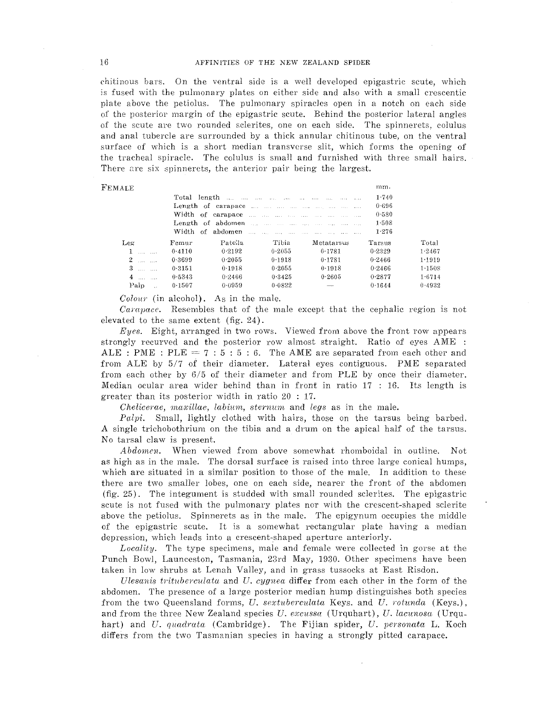chitinous bars. On the ventral side is a well developed epigastric scute, which is fused with the pulmonary plates on either side and also with a small crescentic plate above the petiolus. The pulmonary spiracles open in a noteh on each side of the posterior margin of the epigastric scute. Behind the posterior lateral angles of the scute are two rounded sclerites, one on each side. The spinnerets, colulus and anal tubercle are surrounded by a thick annular chitinous tube, on the ventral surface of which is a short median transverse slit, which forms the opening of the tracheal spiracle. The colulus is small and furnished with three small hairs. There are six spinnerets, the anterior pair being the largest.

| FEMALE          |        |         |            |            | mm.       |        |
|-----------------|--------|---------|------------|------------|-----------|--------|
|                 |        |         |            |            | 1.740     |        |
|                 |        |         |            |            | $0 - 696$ |        |
|                 |        |         |            |            | 0.580     |        |
|                 |        |         |            |            | 1.508     |        |
|                 |        |         |            |            | 1.276     |        |
| Leg.            | Femur  | Patella | Tibia      | Metatarsus | Tarsus    | Total  |
|                 | 0.4110 | 0.2192  | $0 - 2055$ | 0.1781     | 0.2329    | 1.2467 |
| $2 \dots \dots$ | 0.3699 | 0.2055  | 0.1918     | 0.1781     | 0.2466    | 1.1919 |
| $3 \dots \dots$ | 0.3151 | 0.1918  | 0.2055     | 0.1918     | 0.2466    | 1.1508 |
| 4               | 0.5343 | 0.2466  | 0.3425     | 0.2605     | 0.2877    | 1.6714 |
| Palp            | 0.1507 | 0.0959  | 0.0822     |            | 0.1644    | 0.4932 |
|                 |        |         |            |            |           |        |

*Colour* (in alcohol). As in the male.

*Carapace.* Resembles that of the male except that the cephalic region is not elevated to the same extent (fig.  $24$ ).

*Eyes\_* Eight, arranged in two rows. Viewed from above the front row appears strongly recurved and the posterior row almost straight. Ratio of eyes AME : ALE : PME : PLE =  $7:5:5:6$ . The AME are separated from each other and from ALE by 5/7 of their diameter. Lateral eyes contiguous. PME separated from each other by 6/5 of their diameter and from PLE by once their diameter. Median ocular area wider behind than in front in ratio 17 : 16. Its length is greater than its posterior width in ratio 20 : 17.

*Chelicerae, maxillae, labium, sternum* and *legs* as in the male.

*Palpi.* Small, lightly clothed with hairs, those on the tarsus being barbed. A single trichobothrium on the tibia and a drum on the apical half of the tarsus. No tarsal claw is present.

*Abd01nen.* When viewed from above somewhat rhomboidal in outline. Not as high as in the male. The dorsal surface is raised into three large conical humps, which are situated in a similar position to those of the male. In addition to these there are two smaller lobes, one on each side, nearer the front of the abdomen (fig. 25). The integument is studded with small rounded sclerites. The epigastric scute is not fused with the pulmonary plates nor with the crescent-shaped sclerite above the petiolus. Spinnerets as in the male. The epigynum occupies the middle of the epigastric scute. It is a somewhat rectangular plate having a median depression, which leads into a crescent-shaped aperture anteriorly.

*Locality.* The type specimens, male and female were collected in gorse at the Punch Bowl, Launceston, Tasmania, 23rd May, 1930. Other specimens have been taken in low shrubs at Lenah Valley, and in grass tussocks at East Risdon.

*Ulesanis trituberculata* and *U. cygnea* differ from each other in the form of the abdomen. The presence of a large posterior median hump distinguishes both species from the two Queensland forms, *U. sex:tuberculata* Keys. and *U. rotunda* (Keys.), and from the three New Zealand species *U. excussa* (Urquhart), *U. lacunasa* (Urquhart) and *U\_ quadmta* (Cambridge). The Fijian spider, *U. personata* L. Koch differs from the two Tasmanian species in having a strongly pitted carapace.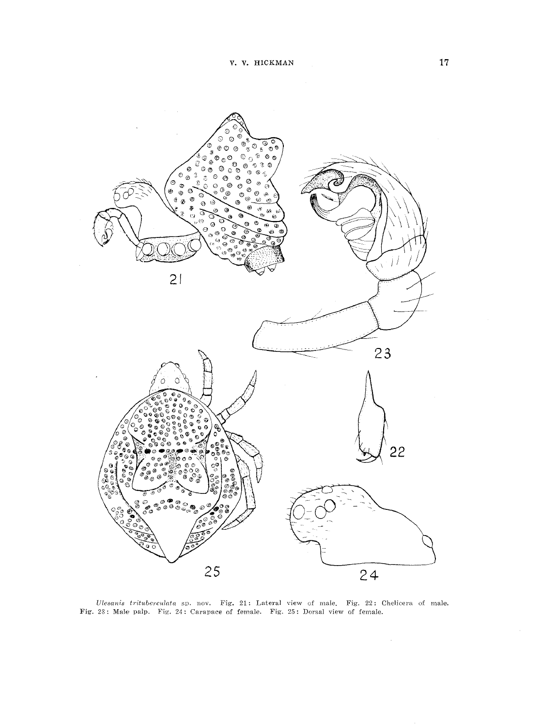

Ulesanis *trituberculata* sp. nov. Fig. 21: Lateral view of male. Fig. 22: Chelicera of male.<br>Fig. 23: Male palp. Fig. 24: Carapace of female. Fig. 25: Dorsal view of female.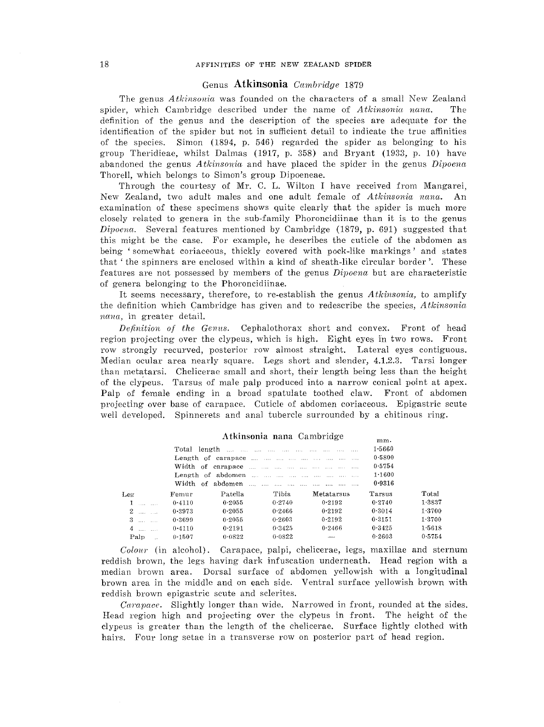## 18 **AFFINITIES OF THE NEW ZEALAND SPIDER**

## Genus **Atkinsonia** *Cambridge* 1879

The genus *Atkin80nia* was founded on the characters of a small New Zealand spider, which Cambridge described under the name of *Atkinsonia ncma.* The definition of the genus and the description of the species are adequate for the identification of the spider but not in sufficient detail to indicate the true affinities of the species. Simon (1894, p. 546) regarded the spider as belonging to his group Theridieae, whilst Dalmas (1917, p. 358) and Bryant (1933, p. 10) have abandoned the genus *Atkinsonic[* and have placed the spider in the genus *Dipoenn* Thorell, which belongs to Simon's group Dipoeneae.

Through the courtesy of Mr. C. L. Wilton I have received from Mangarei, New Zealand, two adult males and one adult female of *Atkinsonia nana*. An examination of these specimens shows quite clearly that the spider is much more closely related to genera in the sub-family Phoroncidiinae than it is to the genus *Dipoena.* Several features mentioned by Cambridge (1879, p. 691) suggested that this might be the case. For example, he describes the cuticle of the abdomen as being 'somewhat coriaceous, thickly covered with pock-like markings' and states that' the spinners are enclosed within a kind of sheath-like circular border'. These features are not possessed by members of the genus *Dipoena* but are characteristic of genera belonging to the Phoroncidiinae.

It seems necessary, therefore, to re-establish the genus *Atkinsonia,* to amplify the definition which Cambridge has given and to redescribe the species, *Atkinsonia nana*, in greater detail.

*Definition of the Genus.* Cephalothorax short and convex. Front of head region projecting over the clypeus, which is high. Eight eyes in two rows. Front row strongly recurved, posterior row almost straight. Lateral eyes contiguous. Median ocular area nearly square. Legs short and slender, 4.1.2.3. Tarsi longer than metatarsi. Chelicerae small and short, their length being less than the height of the clypeus. Tarsus of male palp produced into a narrow conical point at apex. Palp of female ending in a broad spatulate toothed claw. Front of abdomen projecting over base of carapace. Cuticle of abdomen coriaceous. Epigastric scute well developed. Spinnerets and anal tubercle surrounded by a chitinous ring.

|                     |        |                    |        |            | mm.    |        |
|---------------------|--------|--------------------|--------|------------|--------|--------|
|                     |        |                    |        |            | 1.5660 |        |
|                     |        | Length of caravace |        |            | 0.5800 |        |
|                     |        |                    |        |            | 05754  |        |
|                     |        |                    |        |            | 1.1600 |        |
|                     |        |                    |        |            | 0.9316 |        |
| Leg                 | Femur  | Patella            | Tibia  | Metatarsus | Tarsus | Total  |
|                     | 0.4110 | 0.2055             | 0.2740 | 0.2192     | 0.2740 | 1.3837 |
| $2 \ldots \ldots$   | 0.3973 | 0.2055             | 0.2466 | 0.2192     | 0.3014 | 1.3700 |
| $3 \ \dots \ \dots$ | 0.3699 | 0.2055             | 0.2603 | 0.2192     | 0.3151 | 1.3700 |
| 4                   | 0.4110 | 0.2191             | 0.3425 | 0.2466     | 0.3425 | 1.5618 |
| Palp                | 0.1507 | 0.0822             | 0.0822 |            | 0.2603 | 0.5754 |
|                     |        |                    |        |            |        |        |

## Atkinsonia nana Cambridge

*COIOUT* (in alcohol). Carapace, palpi, chelicerae, legs, maxillae and sternum reddish brown, the legs having dark infuscation underneath. Head region with a median brown area. Dorsal surface of abdomen yellowish with a longitudinal brown area in the middle and on each side. Ventral surface yellowish brown with reddish brown epigastric scute and sclerites.

*Carapace.* Slightly longer than wide. Narrowed in front, rounded at the sides. Head region high and projecting over the clypeus in front. The height of the clypeus is greater than the length of the chelicerae. Surface lightly clothed with hairs. Four long setae in a transverse row on posterior part of head region.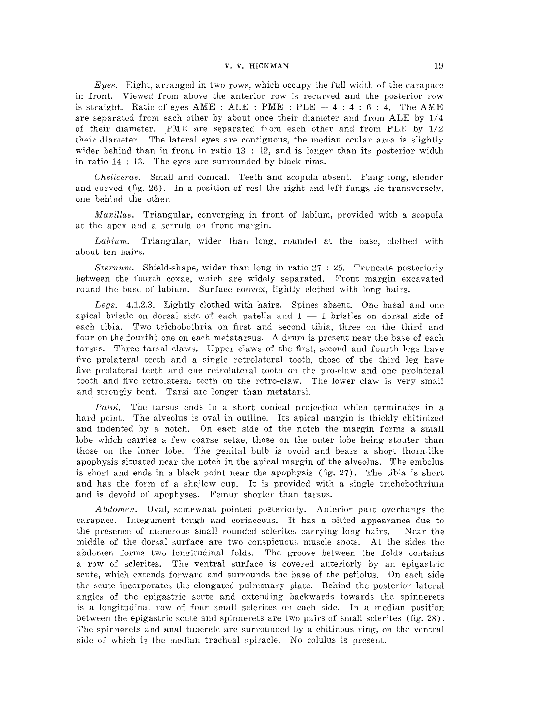#### **V. V. HICKMAN** 19

*Eyes.* Eight, arranged in two rows, which occupy the full width of the carapace in front. Viewed from above the anterior row is recurved and the posterior row is straight. Ratio of eyes  $\text{AME}: \text{ALE}: \text{PME}: \text{PLE} = 4:4:6:4$ . The AME are separated from each other by about once their diameter and from ALE by 1/4 of their diameter. PME are separated from each other and from PLE by 1/2 their diameter. The lateral eyes are contiguous, the median ocular area is slightly wider behind than in front in ratio 13 : 12, and is longer than its posterior width in ratio 14 : 13. The eyes are surrounded by black rims.

*Chelicerae.* Small and conical. Teeth and scopula absent. Fang long, slender and curved (fig. 26). In a position of rest the right and left fangs lie transversely, one behind the other.

*Maxillae.* Triangular, converging in front of labium, provided with a scopula at the apex and a serrula on front margin.

*Labium.* Triangular, wider than long, rounded at the base, clothed with about ten hairs.

*Sternum.* Shield-shape, wider than long in ratio 27 : 25. Truncate posteriorly between the fourth coxae, which are widely separated. Front margin excavated round the base of labium. Surface convex, lightly clothed with long hairs.

*Legs.* 4.1.2.3. Lightly clothed with hairs. Spines absent. One basal and one apical bristle on dorsal side of each patella and  $1 - 1$  bristles on dorsal side of each tibia. Two trichobothria on first and second tibia, three on the third and four on the fourth; one on each metatarsus. A drum is present near the base of each tarsus. Three tarsal claws. Upper claws of the first, second and fourth legs have five prolateral teeth and a single retrolateral tooth, those of the third leg have five prolateral teeth and one retrolateral tooth on the pro-claw and one prolateral tooth and five retrolateral teeth on the retro-claw. The lower claw is very small and strongly bent. Tarsi are longer than metatarsi.

*Palpi.* The tarsus ends in a short conical projection which terminates in a hard point. The alveolus is oval in outline. Its apical margin is thickly chitinized and indented by a notch. On each side of the notch the margin forms a small lobe which carries a few coarse setae, those on the outer lobe being stouter than those on the inner lobe. The genital bulb is ovoid and bears a short thorn-like apophysis situated near the notch in the apical margin of the alveolus. The embolus is short and ends in a black point near the apophysis (fig. 27). The tibia is short and has the form of a shallow cup. It is provided with a single trichobothrium and is devoid of apophyses. Femur shorter than tarsus.

*Abdomen.* Oval, somewhat pointed posteriorly. Anterior part overhangs the carapace. Integument tough and coriaceous. It has a pitted appearance due to the presence of numerous small rounded sclerites carrying long hairs. Near the middle of the dorsal surface are two conspicuous muscle spots. At the sides the abdomen forms two longitudinal folds. The groove between the folds contains a row of sclerites. The ventral surface is covered anteriorly by an epigastric scute, which extends forward and surrounds the base of the petiolus. On each side the scute incorporates the elongated pulmonary plate. Behind the posterior lateral angles of the epigastric scute and extending backwards towards the spinnerets is a longitudinal row of four small sclerites on each side. In a median position between the epigastric scute and spinnerets are two pairs of small sclerites (fig. 28). The spinnerets and anal tubercle are surrounded by a chitinous ring, on the ventral side of which is the median tracheal spiracle. No colulus is present.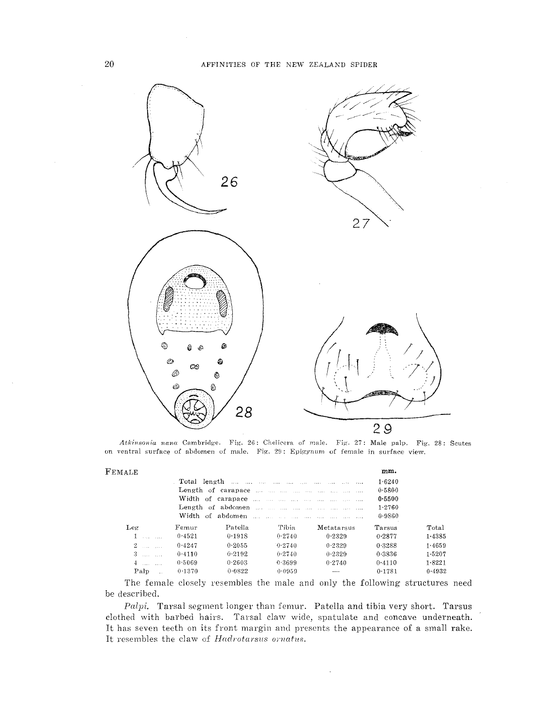

Atkinsonia nana Cambridge. Fig. 26: Chelicera of male. Fig. 27: Male palp. Fig. 28: Scutes on ventral surface of abdomen of male. Fig. 29: Epigynum of female in surface view.

| FEMALE                             |        |         |        |                  | mm.    |            |
|------------------------------------|--------|---------|--------|------------------|--------|------------|
|                                    |        |         |        |                  | 1.6240 |            |
|                                    |        |         |        |                  | 0.5800 |            |
|                                    |        |         |        | 0.5500<br>1.2760 |        |            |
|                                    |        |         |        |                  |        |            |
|                                    |        |         |        |                  | 0.9860 |            |
| Leg                                | Femur  | Patella | Tibia  | Metatarsus       | Tarsus | Total      |
|                                    | 0.4521 | 0.1918  | 0.2740 | 0.2329           | 0.2877 | $1 - 4385$ |
| $2 \ldots \ldots$                  | 0.4247 | 0.2055  | 0.2740 | 0.2329           | 0.3288 | 1.4659     |
| $3 -  - $                          | 0.4110 | 0.2192  | 0.2740 | 0.2329           | 0.3836 | 1.5207     |
| $4 \cdot \ldots \cdot \cdot \cdot$ | 0.5069 | 0.2603  | 0.3699 | 0.2740           | 0.4110 | 1.8221     |
| Palp                               | 0.1370 | 0.0822  | 0.0959 | -                | 0.1781 | 0.4932     |

The female closely resembles the male and only the following structures need be described.

Palpi. Tarsal segment longer than femur. Patella and tibia very short. Tarsus clothed with barbed hairs. Tarsal claw wide, spatulate and concave underneath. It has seven teeth on its front margin and presents the appearance of a small rake. It resembles the claw of  $Hadrotarsus$  ornatus.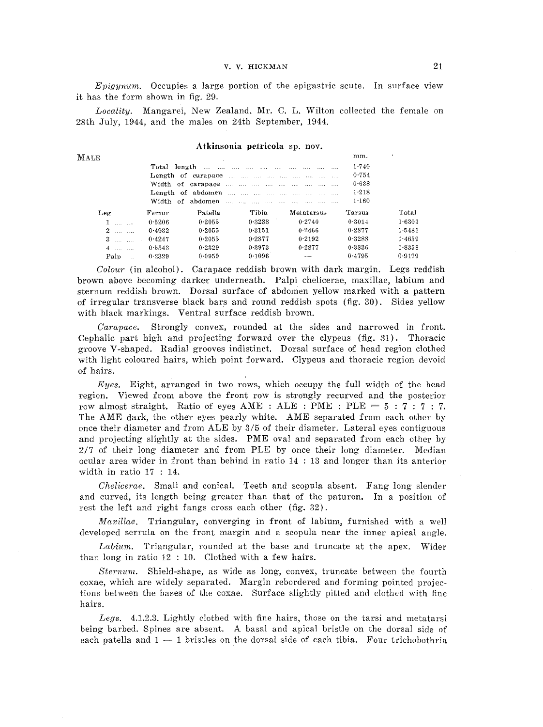### V. V. HICKMAN 21

*Epigynum.* Occupies a large portion of the epigastric scute. In surface view it has the form shown in fig. 29.

*Locality.* Mangarei, New Zealand. Mr. C. L. Wilton collected the female on 28th July, 1944, and the males on 24th September, 1944.

#### Atkinsonia petricola sp. nov.

| Male              |        |         |        |            | mm.    |            |
|-------------------|--------|---------|--------|------------|--------|------------|
|                   |        |         |        |            | 1.740  |            |
|                   |        |         |        |            | 0.754  |            |
|                   |        |         |        |            | 0.638  |            |
|                   |        |         |        |            | 1.218  |            |
|                   |        |         |        |            | 1.160  |            |
| Leg               | Femur  | Patella | Tibia  | Metatarsus | Tarsus | Total      |
|                   |        |         |        |            |        |            |
|                   | 0.5206 | 0.2055  | 0.3288 | 0.2740     | 0.3014 | $1 - 6303$ |
| $2 \dots \dots$   | 0.4932 | 0.2055  | 0.3151 | 0.2466     | 0.2877 | 1.5481     |
| $3 \ldots \ldots$ | 0.4247 | 0.2055  | 0.2877 | 0.2192     | 0.3288 | 1.4659     |
| $4 \dots \dots$   | 0.5343 | 0.2329  | 0.3973 | 0.2877     | 0.3836 | 1-8358     |

*Colour* (in alcohol). Carapace reddish brown with dark margin. Legs reddish brown above becoming darker underneath. Palpi chelicerae, maxillae, labium and sternum reddish brown. Dorsal surface of abdomen yellow marked with a pattern of irregular transverse black bars and round reddish spots (fig. 30). Sides yellow with black markings. Ventral surface reddish brown.

*Carapace.* Strongly convex, rounded at the sides and narrowed in front. Cephalic part high and projecting forward over the clypeus (fig. 31). Thoracic groove V-shaped. Radial grooves indistinct. Dorsal surface of head region clothed with light coloured hairs, which point forward. Clypeus and thoracic region devoid of hairs.

*Eyes.* Eight, arranged in two rows, which occupy the full width of the head region. Viewed from above the front row is strongly recurved and the posterior row almost straight. Ratio of eyes AME : ALE : PME : PLE =  $5:7:7:7$ . The AME dark, the other eyes pearly white. AME separated from each other by once their diameter and from ALE by 3/5 of their diameter. Lateral eyes contiguous and projecting slightly at the sides. PME oval and separated from each other by 217 of their long diameter and from PLE by once their long diameter. Median ocular area wider in front than behind in ratio 14 : 13 and longer than its anterior width in ratio 17 : 14.

*Chelicerae.* Small and conical. Teeth and scapula absent. Fang long slender and curved, its length being greater than that of the paturon. In a position of rest the left and right fangs cross each other (fig. 32).

*Maxillae.* Triangular, converging in front of labium, furnished with a well developed serrula on the front margin and a scopula near the inner apical angle.

*Labium.* Triangular, rounded at the base and truncate at the apex. Wider than long in ratio 12 : 10. Clothed with a few hairs.

*Sternum.* Shield-shape, as wide as long, convex, truncate between the fourth coxae, which are widely separated. Margin rebordered and forming pointed projections between the bases of the coxae. Surface slightly pitted and clothed with fine hairs.

*Legs.* 4.1.2.3. Lightly clothed with fine hairs, those on the tarsi and metatarsi being barbed. Spines are absent. A basal and apical bristle on the dorsal side of each patella and  $1 - 1$  bristles on the dorsal side of each tibia. Four trichobothria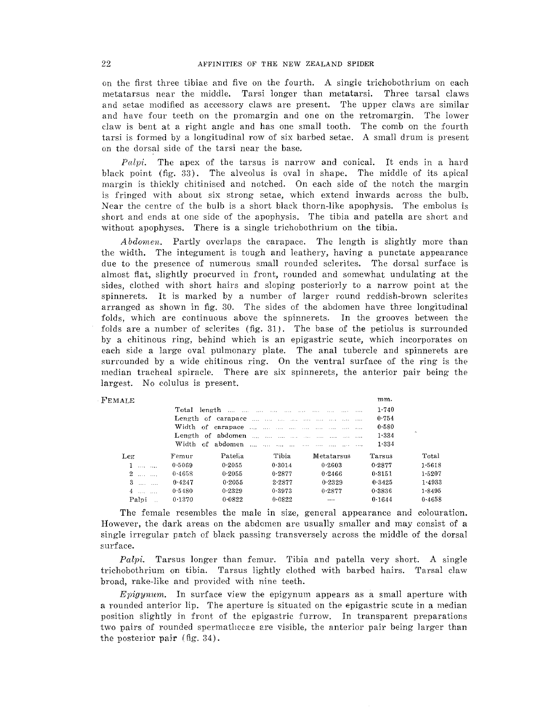on the first three tibiae and five on the fourth. A single trichobothrium on each metatarsus near the middle. Tarsi longer than metatarsi. Three tarsal claws and setae modified as accessory claws are present. The upper claws are similar and have four teeth on the promargin and one on the retromargin. The lower claw is bent at a right angle and has one small tooth. The comb on the fourth tarsi is formed by a longitudinal row of six barbed setae. A small drum is present on the dorsal side of the tarsi near the base.

Palpi. The apex of the tarsus is narrow and conical. It ends in a hard black point (fig. 33). The alveolus is oval in shape. The middle of its apical margin is thickly chitinised and notched. On each side of the notch the margin is fringed with about six strong setae, which extend inwards across the bulb. Near the centre of the bulb is a short black thorn-like apophysis. The embolus is short and ends at one side of the apophysis. The tibia and patella are short and without apophyses. There is a single trichobothrium on the tibia.

*Abdomen.* Partly overlaps the carapace. The length is slightly more than the width. The integument is tough and leathery, having a punctate appearance due to the presence of numerous small rounded sclerites. The dorsal surface is almost flat, slightly procurved in front, rounded and somewhat undulating at the sides, clothed with short hairs and sloping posteriorly to a narrow point at the spinnerets. It is marked by <sup>a</sup> number of larger round reddish-brown sclerites arranged as shown in fig. 30. The sides of the abdomen have three longitudinal folds, which are continuous above the spinnerets. In the grooves between the folds are a number of sclerites (fig. 31). The base of the petiolus is surrounded by a chitinous ring, behind which is an epigastric scute, which incorporates on each side a large oval pulmonary plate. The anal tubercle and spinnerets are surrounded by a wide chitinous ring. On the ventral surface of the ring is the median tracheal spiracle. There are six spinnerets, the anterior pair being the largest. No colulus is present.

| FEMALE            |              |            |            |                | mm.       |        |
|-------------------|--------------|------------|------------|----------------|-----------|--------|
|                   |              |            |            |                | $1 - 740$ |        |
|                   |              |            |            |                | 0.754     |        |
|                   |              |            |            |                | 0.580     |        |
|                   |              |            |            |                | 1.334     |        |
|                   |              |            |            |                | 1.334     |        |
| Leg               | Femur        | Patelia    | Tibia      | Metatarsus     | Tarsus    | Total  |
| $1 \ldots \ldots$ | 0.5069       | 0.2055     | 0.3014     | 0.2603         | 0.2877    | 1.5618 |
| $2 \dots \dots$   | 0.4658       | 0.2055     | 0.2877     | 0.2466         | 0.3151    | 1.5207 |
| $3 \dots \dots$   | 0.4247       | $0 - 2055$ | $2 - 2877$ | 0.2329         | 0.3425    | 1.4933 |
| $4 \ldots \ldots$ | 0.5480       | 0.2329     | 0.3973     | 0.2877         | 0.3836    | 1.8495 |
|                   | Palpi 0.1370 | 0.0822     | 0.0822     | <b>Soldier</b> | 0.1644    | 0.4658 |

The female resembles the male in size, general appearance and colouration. However, the dark areas on the abdomen are usually smaller and may consist of a single irregular patch of black passing transversely across the middle of the dorsal surface.

 $Palpi$ . Tarsus longer than femur. Tibia and patella very short. A single trichobothrium on tibia. Tarsus lightly clothed with barbed hairs. Tarsal claw broad, rake-like and provided with nine teeth.

*Epigynum.* In surface view the epigynum appears as a small aperture with a rounded anterior lip. The aperture is situated on the epigastric scute in a median position slightly in front of the epigastric furrow. In transparent preparations two pairs of rounded spermatliecae are visible, the anterior pair being larger than the posterior pair  $($ fig. 34 $).$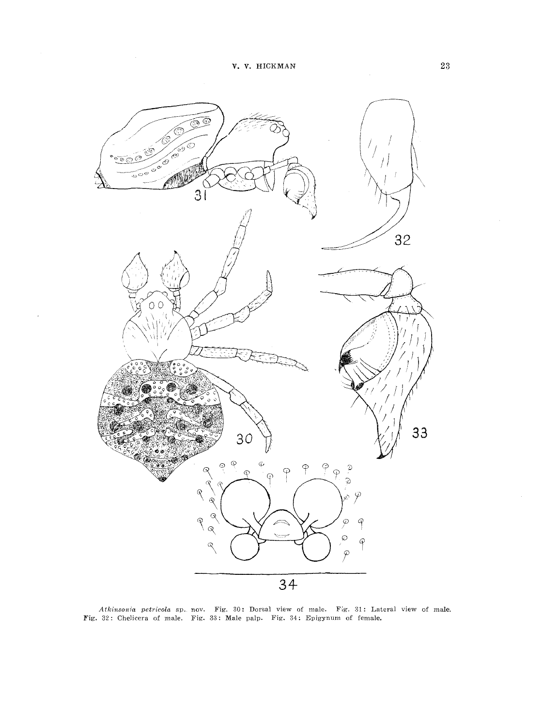

Atkinsonia petricola sp. nov. Fig. 30: Dorsal view of male. Fig. 31: Lateral view of male. Fig. 33: Male palp. Fig. 34: Epigynum of female.